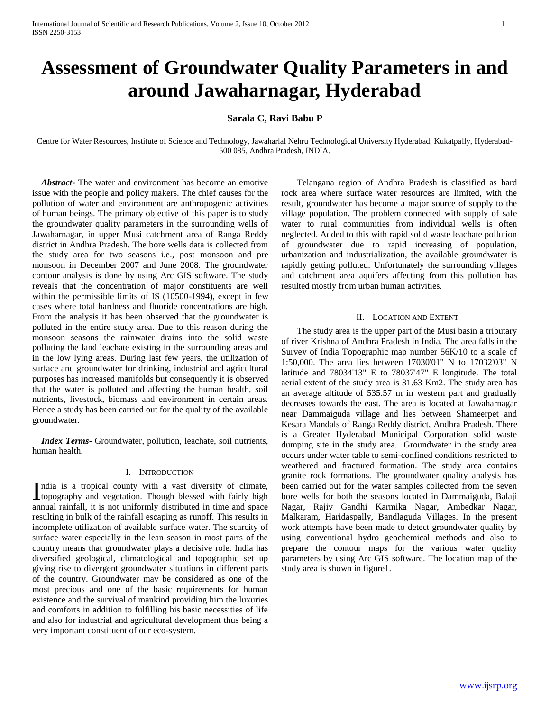# **Assessment of Groundwater Quality Parameters in and around Jawaharnagar, Hyderabad**

# **Sarala C, Ravi Babu P**

Centre for Water Resources, Institute of Science and Technology, Jawaharlal Nehru Technological University Hyderabad, Kukatpally, Hyderabad-500 085, Andhra Pradesh, INDIA.

 *Abstract***-** The water and environment has become an emotive issue with the people and policy makers. The chief causes for the pollution of water and environment are anthropogenic activities of human beings. The primary objective of this paper is to study the groundwater quality parameters in the surrounding wells of Jawaharnagar, in upper Musi catchment area of Ranga Reddy district in Andhra Pradesh. The bore wells data is collected from the study area for two seasons i.e., post monsoon and pre monsoon in December 2007 and June 2008. The groundwater contour analysis is done by using Arc GIS software. The study reveals that the concentration of major constituents are well within the permissible limits of IS (10500-1994), except in few cases where total hardness and fluoride concentrations are high. From the analysis it has been observed that the groundwater is polluted in the entire study area. Due to this reason during the monsoon seasons the rainwater drains into the solid waste polluting the land leachate existing in the surrounding areas and in the low lying areas. During last few years, the utilization of surface and groundwater for drinking, industrial and agricultural purposes has increased manifolds but consequently it is observed that the water is polluted and affecting the human health, soil nutrients, livestock, biomass and environment in certain areas. Hence a study has been carried out for the quality of the available groundwater.

 *Index Terms*- Groundwater, pollution, leachate, soil nutrients, human health.

#### I. INTRODUCTION

ndia is a tropical county with a vast diversity of climate, India is a tropical county with a vast diversity of climate, topography and vegetation. Though blessed with fairly high annual rainfall, it is not uniformly distributed in time and space resulting in bulk of the rainfall escaping as runoff. This results in incomplete utilization of available surface water. The scarcity of surface water especially in the lean season in most parts of the country means that groundwater plays a decisive role. India has diversified geological, climatological and topographic set up giving rise to divergent groundwater situations in different parts of the country. Groundwater may be considered as one of the most precious and one of the basic requirements for human existence and the survival of mankind providing him the luxuries and comforts in addition to fulfilling his basic necessities of life and also for industrial and agricultural development thus being a very important constituent of our eco-system.

 Telangana region of Andhra Pradesh is classified as hard rock area where surface water resources are limited, with the result, groundwater has become a major source of supply to the village population. The problem connected with supply of safe water to rural communities from individual wells is often neglected. Added to this with rapid solid waste leachate pollution of groundwater due to rapid increasing of population, urbanization and industrialization, the available groundwater is rapidly getting polluted. Unfortunately the surrounding villages and catchment area aquifers affecting from this pollution has resulted mostly from urban human activities.

#### II. LOCATION AND EXTENT

 The study area is the upper part of the Musi basin a tributary of river Krishna of Andhra Pradesh in India. The area falls in the Survey of India Topographic map number 56K/10 to a scale of 1:50,000. The area lies between 17030'01" N to 17032'03" N latitude and 78034'13" E to 78037'47" E longitude. The total aerial extent of the study area is 31.63 Km2. The study area has an average altitude of 535.57 m in western part and gradually decreases towards the east. The area is located at Jawaharnagar near Dammaiguda village and lies between Shameerpet and Kesara Mandals of Ranga Reddy district, Andhra Pradesh. There is a Greater Hyderabad Municipal Corporation solid waste dumping site in the study area. Groundwater in the study area occurs under water table to semi-confined conditions restricted to weathered and fractured formation. The study area contains granite rock formations. The groundwater quality analysis has been carried out for the water samples collected from the seven bore wells for both the seasons located in Dammaiguda, Balaji Nagar, Rajiv Gandhi Karmika Nagar, Ambedkar Nagar, Malkaram, Haridaspally, Bandlaguda Villages. In the present work attempts have been made to detect groundwater quality by using conventional hydro geochemical methods and also to prepare the contour maps for the various water quality parameters by using Arc GIS software. The location map of the study area is shown in figure1.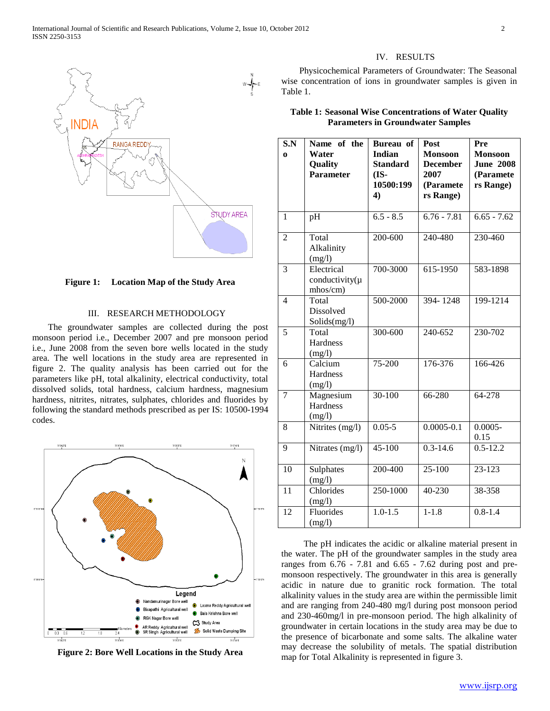

**Figure 1: Location Map of the Study Area**

## III. RESEARCH METHODOLOGY

 The groundwater samples are collected during the post monsoon period i.e., December 2007 and pre monsoon period i.e., June 2008 from the seven bore wells located in the study area. The well locations in the study area are represented in figure 2. The quality analysis has been carried out for the parameters like pH, total alkalinity, electrical conductivity, total dissolved solids, total hardness, calcium hardness, magnesium hardness, nitrites, nitrates, sulphates, chlorides and fluorides by following the standard methods prescribed as per IS: 10500-1994 codes.



**Figure 2: Bore Well Locations in the Study Area**

#### IV. RESULTS

 Physicochemical Parameters of Groundwater: The Seasonal wise concentration of ions in groundwater samples is given in Table 1.

**Table 1: Seasonal Wise Concentrations of Water Quality Parameters in Groundwater Samples**

| S.N<br>$\bf{0}$ | Name of the<br>Water<br>Quality<br><b>Parameter</b> | Bureau of<br><b>Indian</b><br><b>Standard</b><br>(IS-<br>10500:199<br>4) | Post<br><b>Monsoon</b><br><b>December</b><br>2007<br>(Paramete<br>rs Range) | Pre<br><b>Monsoon</b><br><b>June 2008</b><br>(Paramete<br>rs Range) |
|-----------------|-----------------------------------------------------|--------------------------------------------------------------------------|-----------------------------------------------------------------------------|---------------------------------------------------------------------|
| $\mathbf{1}$    | pH                                                  | $6.5 - 8.5$                                                              | $6.76 - 7.81$                                                               | $6.65 - 7.62$                                                       |
| $\overline{2}$  | Total<br>Alkalinity<br>(mg/l)                       | 200-600                                                                  | 240-480                                                                     | 230-460                                                             |
| $\overline{3}$  | Electrical<br>conductivity $(\mu$<br>mhos/cm)       | 700-3000                                                                 | 615-1950                                                                    | 583-1898                                                            |
| $\overline{4}$  | Total<br>Dissolved<br>Solids(mg/l)                  | 500-2000                                                                 | 394-1248                                                                    | 199-1214                                                            |
| 5               | Total<br>Hardness<br>(mg/l)                         | 300-600                                                                  | 240-652                                                                     | 230-702                                                             |
| 6               | Calcium<br>Hardness<br>(mg/l)                       | 75-200                                                                   | 176-376                                                                     | 166-426                                                             |
| $\overline{7}$  | Magnesium<br>Hardness<br>(mg/l)                     | $30-100$                                                                 | 66-280                                                                      | 64-278                                                              |
| 8               | Nitrites (mg/l)                                     | $0.05 - 5$                                                               | $0.0005 - 0.1$                                                              | $0.0005 -$<br>0.15                                                  |
| 9               | Nitrates (mg/l)                                     | $45 - 100$                                                               | $0.3 - 14.6$                                                                | $0.5 - 12.2$                                                        |
| 10              | Sulphates<br>(mg/l)                                 | 200-400                                                                  | $25 - 100$                                                                  | 23-123                                                              |
| $\overline{11}$ | Chlorides<br>(mg/l)                                 | 250-1000                                                                 | 40-230                                                                      | 38-358                                                              |
| $\overline{12}$ | Fluorides<br>(mg/l)                                 | $1.0 - 1.5$                                                              | $1 - 1.8$                                                                   | $0.8 - 1.4$                                                         |

 The pH indicates the acidic or alkaline material present in the water. The pH of the groundwater samples in the study area ranges from 6.76 - 7.81 and 6.65 - 7.62 during post and premonsoon respectively. The groundwater in this area is generally acidic in nature due to granitic rock formation. The total alkalinity values in the study area are within the permissible limit and are ranging from 240-480 mg/l during post monsoon period and 230-460mg/l in pre-monsoon period. The high alkalinity of groundwater in certain locations in the study area may be due to the presence of bicarbonate and some salts. The alkaline water may decrease the solubility of metals. The spatial distribution map for Total Alkalinity is represented in figure 3.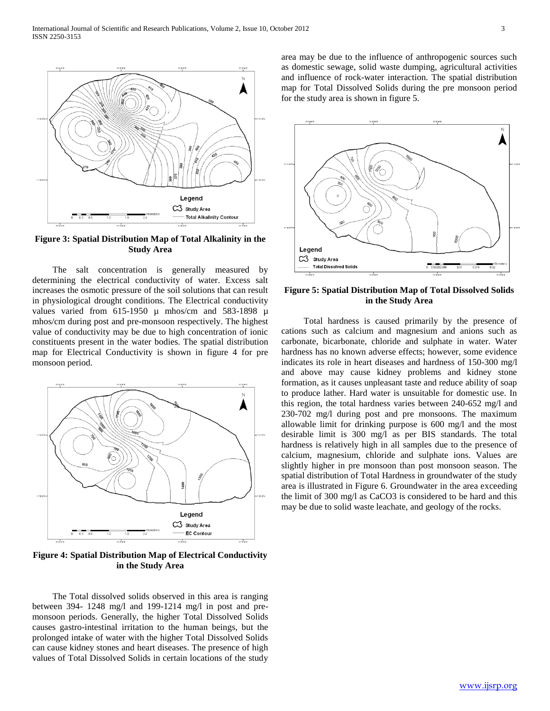

**Figure 3: Spatial Distribution Map of Total Alkalinity in the Study Area**

 The salt concentration is generally measured by determining the electrical conductivity of water. Excess salt increases the osmotic pressure of the soil solutions that can result in physiological drought conditions. The Electrical conductivity values varied from  $615-1950 \mu$  mhos/cm and  $583-1898 \mu$ mhos/cm during post and pre-monsoon respectively. The highest value of conductivity may be due to high concentration of ionic constituents present in the water bodies. The spatial distribution map for Electrical Conductivity is shown in figure 4 for pre monsoon period.



**Figure 4: Spatial Distribution Map of Electrical Conductivity in the Study Area**

 The Total dissolved solids observed in this area is ranging between 394- 1248 mg/l and 199-1214 mg/l in post and premonsoon periods. Generally, the higher Total Dissolved Solids causes gastro-intestinal irritation to the human beings, but the prolonged intake of water with the higher Total Dissolved Solids can cause kidney stones and heart diseases. The presence of high values of Total Dissolved Solids in certain locations of the study

area may be due to the influence of anthropogenic sources such as domestic sewage, solid waste dumping, agricultural activities and influence of rock-water interaction. The spatial distribution map for Total Dissolved Solids during the pre monsoon period for the study area is shown in figure 5.



**Figure 5: Spatial Distribution Map of Total Dissolved Solids in the Study Area**

 Total hardness is caused primarily by the presence of cations such as calcium and magnesium and anions such as carbonate, bicarbonate, chloride and sulphate in water. Water hardness has no known adverse effects; however, some evidence indicates its role in heart diseases and hardness of 150-300 mg/l and above may cause kidney problems and kidney stone formation, as it causes unpleasant taste and reduce ability of soap to produce lather. Hard water is unsuitable for domestic use. In this region, the total hardness varies between 240-652 mg/l and 230-702 mg/l during post and pre monsoons. The maximum allowable limit for drinking purpose is 600 mg/l and the most desirable limit is 300 mg/l as per BIS standards. The total hardness is relatively high in all samples due to the presence of calcium, magnesium, chloride and sulphate ions. Values are slightly higher in pre monsoon than post monsoon season. The spatial distribution of Total Hardness in groundwater of the study area is illustrated in Figure 6. Groundwater in the area exceeding the limit of 300 mg/l as CaCO3 is considered to be hard and this may be due to solid waste leachate, and geology of the rocks.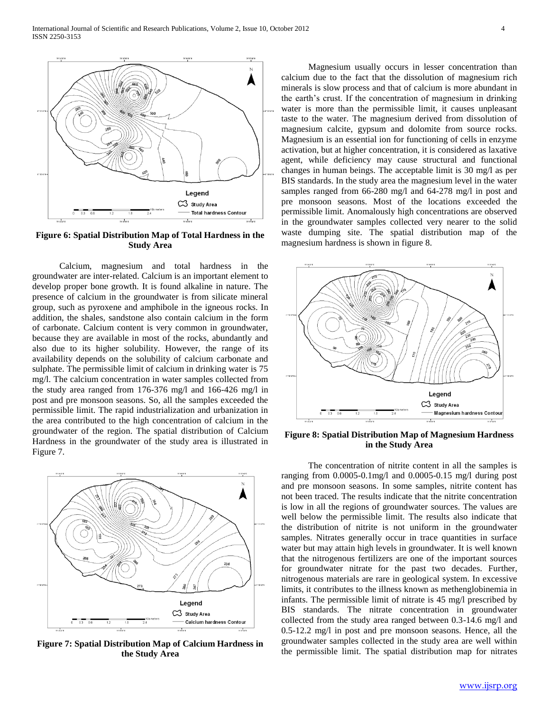International Journal of Scientific and Research Publications, Volume 2, Issue 10, October 2012 4 ISSN 2250-3153



**Figure 6: Spatial Distribution Map of Total Hardness in the Study Area**

 Calcium, magnesium and total hardness in the groundwater are inter-related. Calcium is an important element to develop proper bone growth. It is found alkaline in nature. The presence of calcium in the groundwater is from silicate mineral group, such as pyroxene and amphibole in the igneous rocks. In addition, the shales, sandstone also contain calcium in the form of carbonate. Calcium content is very common in groundwater, because they are available in most of the rocks, abundantly and also due to its higher solubility. However, the range of its availability depends on the solubility of calcium carbonate and sulphate. The permissible limit of calcium in drinking water is 75 mg/l. The calcium concentration in water samples collected from the study area ranged from 176-376 mg/l and 166-426 mg/l in post and pre monsoon seasons. So, all the samples exceeded the permissible limit. The rapid industrialization and urbanization in the area contributed to the high concentration of calcium in the groundwater of the region. The spatial distribution of Calcium Hardness in the groundwater of the study area is illustrated in Figure 7.



**Figure 7: Spatial Distribution Map of Calcium Hardness in the Study Area**

 Magnesium usually occurs in lesser concentration than calcium due to the fact that the dissolution of magnesium rich minerals is slow process and that of calcium is more abundant in the earth's crust. If the concentration of magnesium in drinking water is more than the permissible limit, it causes unpleasant taste to the water. The magnesium derived from dissolution of magnesium calcite, gypsum and dolomite from source rocks. Magnesium is an essential ion for functioning of cells in enzyme activation, but at higher concentration, it is considered as laxative agent, while deficiency may cause structural and functional changes in human beings. The acceptable limit is 30 mg/l as per BIS standards. In the study area the magnesium level in the water samples ranged from 66-280 mg/l and 64-278 mg/l in post and pre monsoon seasons. Most of the locations exceeded the permissible limit. Anomalously high concentrations are observed in the groundwater samples collected very nearer to the solid waste dumping site. The spatial distribution map of the magnesium hardness is shown in figure 8.



**Figure 8: Spatial Distribution Map of Magnesium Hardness in the Study Area**

 The concentration of nitrite content in all the samples is ranging from 0.0005-0.1mg/l and 0.0005-0.15 mg/l during post and pre monsoon seasons. In some samples, nitrite content has not been traced. The results indicate that the nitrite concentration is low in all the regions of groundwater sources. The values are well below the permissible limit. The results also indicate that the distribution of nitrite is not uniform in the groundwater samples. Nitrates generally occur in trace quantities in surface water but may attain high levels in groundwater. It is well known that the nitrogenous fertilizers are one of the important sources for groundwater nitrate for the past two decades. Further, nitrogenous materials are rare in geological system. In excessive limits, it contributes to the illness known as methenglobinemia in infants. The permissible limit of nitrate is 45 mg/l prescribed by BIS standards. The nitrate concentration in groundwater collected from the study area ranged between 0.3-14.6 mg/l and 0.5-12.2 mg/l in post and pre monsoon seasons. Hence, all the groundwater samples collected in the study area are well within the permissible limit. The spatial distribution map for nitrates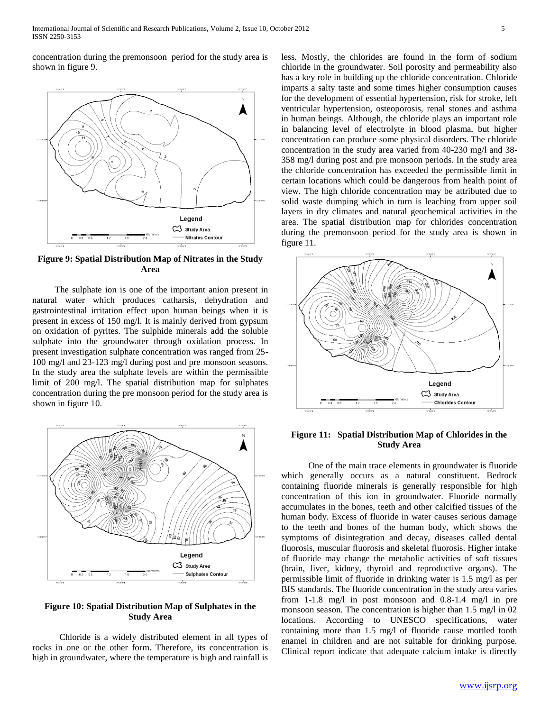concentration during the premonsoon period for the study area is shown in figure 9.



**Figure 9: Spatial Distribution Map of Nitrates in the Study Area**

 The sulphate ion is one of the important anion present in natural water which produces catharsis, dehydration and gastrointestinal irritation effect upon human beings when it is present in excess of 150 mg/l. It is mainly derived from gypsum on oxidation of pyrites. The sulphide minerals add the soluble sulphate into the groundwater through oxidation process. In present investigation sulphate concentration was ranged from 25- 100 mg/l and 23-123 mg/l during post and pre monsoon seasons. In the study area the sulphate levels are within the permissible limit of 200 mg/l. The spatial distribution map for sulphates concentration during the pre monsoon period for the study area is shown in figure 10.



## **Figure 10: Spatial Distribution Map of Sulphates in the Study Area**

 Chloride is a widely distributed element in all types of rocks in one or the other form. Therefore, its concentration is high in groundwater, where the temperature is high and rainfall is

less. Mostly, the chlorides are found in the form of sodium chloride in the groundwater. Soil porosity and permeability also has a key role in building up the chloride concentration. Chloride imparts a salty taste and some times higher consumption causes for the development of essential hypertension, risk for stroke, left ventricular hypertension, osteoporosis, renal stones and asthma in human beings. Although, the chloride plays an important role in balancing level of electrolyte in blood plasma, but higher concentration can produce some physical disorders. The chloride concentration in the study area varied from 40-230 mg/l and 38- 358 mg/l during post and pre monsoon periods. In the study area the chloride concentration has exceeded the permissible limit in certain locations which could be dangerous from health point of view. The high chloride concentration may be attributed due to solid waste dumping which in turn is leaching from upper soil layers in dry climates and natural geochemical activities in the area. The spatial distribution map for chlorides concentration during the premonsoon period for the study area is shown in figure 11.



**Figure 11: Spatial Distribution Map of Chlorides in the Study Area**

 One of the main trace elements in groundwater is fluoride which generally occurs as a natural constituent. Bedrock containing fluoride minerals is generally responsible for high concentration of this ion in groundwater. Fluoride normally accumulates in the bones, teeth and other calcified tissues of the human body. Excess of fluoride in water causes serious damage to the teeth and bones of the human body, which shows the symptoms of disintegration and decay, diseases called dental fluorosis, muscular fluorosis and skeletal fluorosis. Higher intake of fluoride may change the metabolic activities of soft tissues (brain, liver, kidney, thyroid and reproductive organs). The permissible limit of fluoride in drinking water is 1.5 mg/l as per BIS standards. The fluoride concentration in the study area varies from 1-1.8 mg/l in post monsoon and 0.8-1.4 mg/l in pre monsoon season. The concentration is higher than 1.5 mg/l in 02 locations. According to UNESCO specifications, water containing more than 1.5 mg/l of fluoride cause mottled tooth enamel in children and are not suitable for drinking purpose. Clinical report indicate that adequate calcium intake is directly